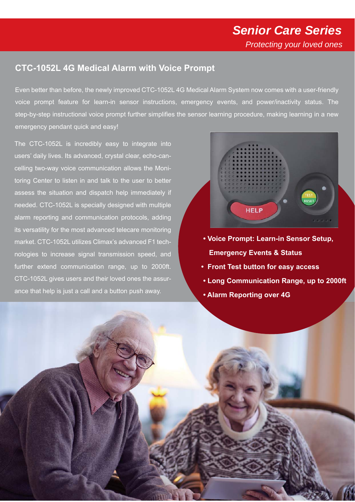## **CTC-1052L 4G Medical Alarm with Voice Prompt**

Even better than before, the newly improved CTC-1052L 4G Medical Alarm System now comes with a user-friendly voice prompt feature for learn-in sensor instructions, emergency events, and power/inactivity status. The step-by-step instructional voice prompt further simplifies the sensor learning procedure, making learning in a new emergency pendant quick and easy!

The CTC-1052L is incredibly easy to integrate into users' daily lives. Its advanced, crystal clear, echo-cancelling two-way voice communication allows the Monitoring Center to listen in and talk to the user to better assess the situation and dispatch help immediately if needed. CTC-1052L is specially designed with multiple alarm reporting and communication protocols, adding its versatility for the most advanced telecare monitoring market. CTC-1052L utilizes Climax's advanced F1 technologies to increase signal transmission speed, and further extend communication range, up to 2000ft. CTC-1052L gives users and their loved ones the assurance that help is just a call and a button push away.



- **Voice Prompt: Learn-in Sensor Setup, Emergency Events & Status**
- **Front Test button for easy access**
- **Long Communication Range, up to 2000ft**
- **Alarm Reporting over 4G**